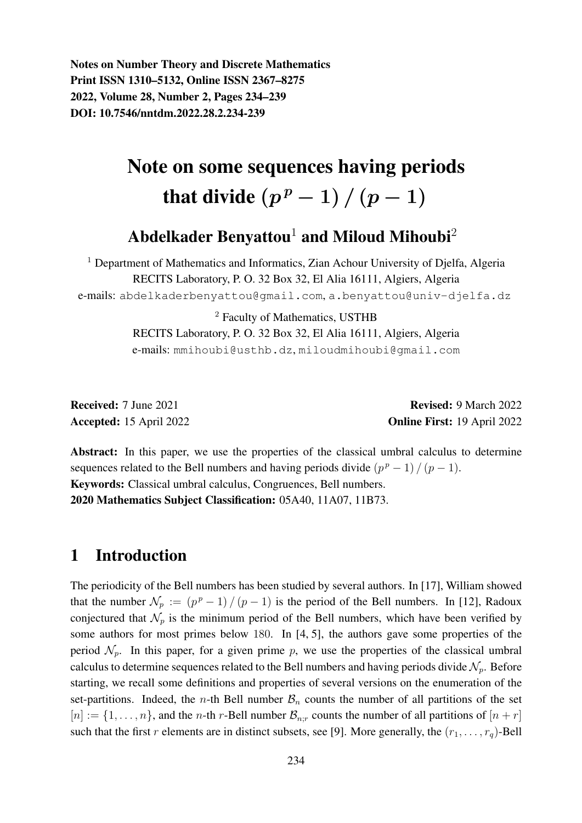Notes on Number Theory and Discrete Mathematics Print ISSN 1310–5132, Online ISSN 2367–8275 2022, Volume 28, Number 2, Pages 234–239 DOI: 10.7546/nntdm.2022.28.2.234-239

# Note on some sequences having periods that divide  $(p<sup>p</sup> - 1) / (p - 1)$

## Abdelkader Benyattou<sup>1</sup> and Miloud Mihoubi<sup>2</sup>

<sup>1</sup> Department of Mathematics and Informatics, Zian Achour University of Djelfa, Algeria RECITS Laboratory, P. O. 32 Box 32, El Alia 16111, Algiers, Algeria e-mails: abdelkaderbenyattou@gmail.com, a.benyattou@univ-djelfa.dz

> <sup>2</sup> Faculty of Mathematics, USTHB RECITS Laboratory, P. O. 32 Box 32, El Alia 16111, Algiers, Algeria e-mails: mmihoubi@usthb.dz, miloudmihoubi@gmail.com

Received: 7 June 2021 **Revised: 9 March 2022** Accepted: 15 April 2022 **Online First: 19 April 2022** 

Abstract: In this paper, we use the properties of the classical umbral calculus to determine sequences related to the Bell numbers and having periods divide  $(p^p - 1)/(p - 1)$ . Keywords: Classical umbral calculus, Congruences, Bell numbers. 2020 Mathematics Subject Classification: 05A40, 11A07, 11B73.

#### 1 Introduction

The periodicity of the Bell numbers has been studied by several authors. In [17], William showed that the number  $\mathcal{N}_p := (p^p - 1) / (p - 1)$  is the period of the Bell numbers. In [12], Radoux conjectured that  $\mathcal{N}_p$  is the minimum period of the Bell numbers, which have been verified by some authors for most primes below 180. In  $[4, 5]$ , the authors gave some properties of the period  $\mathcal{N}_p$ . In this paper, for a given prime p, we use the properties of the classical umbral calculus to determine sequences related to the Bell numbers and having periods divide  $\mathcal{N}_p$ . Before starting, we recall some definitions and properties of several versions on the enumeration of the set-partitions. Indeed, the *n*-th Bell number  $B_n$  counts the number of all partitions of the set  $[n] := \{1, \ldots, n\}$ , and the *n*-th *r*-Bell number  $\mathcal{B}_{n,r}$  counts the number of all partitions of  $[n+r]$ such that the first r elements are in distinct subsets, see [9]. More generally, the  $(r_1, \ldots, r_q)$ -Bell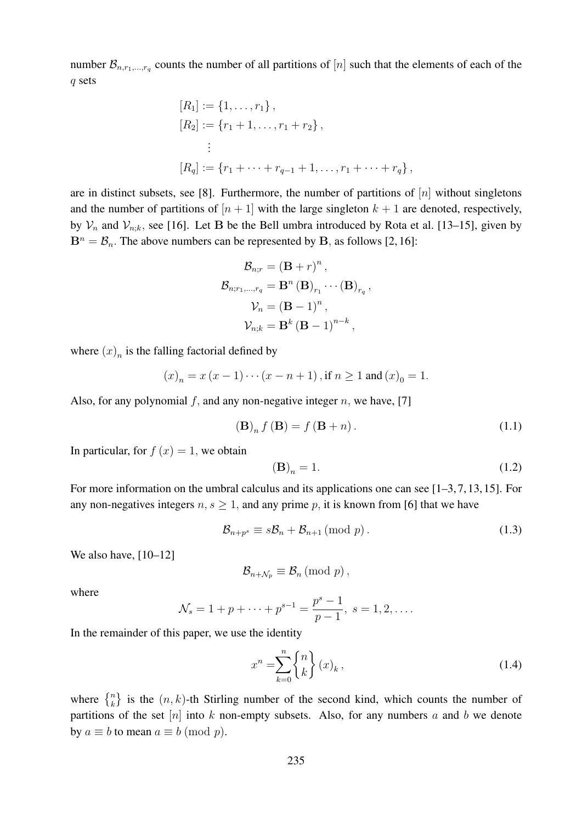number  $\mathcal{B}_{n,r_1,\dots,r_q}$  counts the number of all partitions of  $[n]$  such that the elements of each of the q sets

$$
[R_1] := \{1, \ldots, r_1\},
$$
  
\n
$$
[R_2] := \{r_1 + 1, \ldots, r_1 + r_2\},
$$
  
\n
$$
\vdots
$$
  
\n
$$
[R_q] := \{r_1 + \cdots + r_{q-1} + 1, \ldots, r_1 + \cdots + r_q\},
$$

are in distinct subsets, see [8]. Furthermore, the number of partitions of  $[n]$  without singletons and the number of partitions of  $[n+1]$  with the large singleton  $k+1$  are denoted, respectively, by  $\mathcal{V}_n$  and  $\mathcal{V}_{n;k}$ , see [16]. Let B be the Bell umbra introduced by Rota et al. [13–15], given by  $B<sup>n</sup> = B<sub>n</sub>$ . The above numbers can be represented by B, as follows [2, 16]:

$$
\mathcal{B}_{n;r} = (\mathbf{B} + r)^n,
$$
  
\n
$$
\mathcal{B}_{n;r_1,\dots,r_q} = \mathbf{B}^n (\mathbf{B})_{r_1} \cdots (\mathbf{B})_{r_q},
$$
  
\n
$$
\mathcal{V}_n = (\mathbf{B} - 1)^n,
$$
  
\n
$$
\mathcal{V}_{n;k} = \mathbf{B}^k (\mathbf{B} - 1)^{n-k},
$$

where  $(x)_n$  is the falling factorial defined by

$$
(x)_n = x (x - 1) \cdots (x - n + 1)
$$
, if  $n \ge 1$  and  $(x)_0 = 1$ .

Also, for any polynomial f, and any non-negative integer n, we have, [7]

$$
\left(\mathbf{B}\right)_{n} f\left(\mathbf{B}\right) = f\left(\mathbf{B} + n\right). \tag{1.1}
$$

In particular, for  $f(x) = 1$ , we obtain

$$
\mathbf{(B)}_n = 1. \tag{1.2}
$$

For more information on the umbral calculus and its applications one can see [1–3, 7, 13, 15]. For any non-negatives integers  $n, s \geq 1$ , and any prime p, it is known from [6] that we have

$$
\mathcal{B}_{n+p^s} \equiv s\mathcal{B}_n + \mathcal{B}_{n+1} \pmod{p} \,. \tag{1.3}
$$

We also have, [10–12]

$$
\mathcal{B}_{n+\mathcal{N}_p} \equiv \mathcal{B}_n \,(\text{mod } p),
$$

where

$$
\mathcal{N}_s = 1 + p + \dots + p^{s-1} = \frac{p^s - 1}{p - 1}, \ s = 1, 2, \dots
$$

In the remainder of this paper, we use the identity

$$
x^n = \sum_{k=0}^n \begin{Bmatrix} n \\ k \end{Bmatrix} (x)_k, \tag{1.4}
$$

where  $\{n\}$  is the  $(n, k)$ -th Stirling number of the second kind, which counts the number of partitions of the set  $[n]$  into k non-empty subsets. Also, for any numbers a and b we denote by  $a \equiv b$  to mean  $a \equiv b \pmod{p}$ .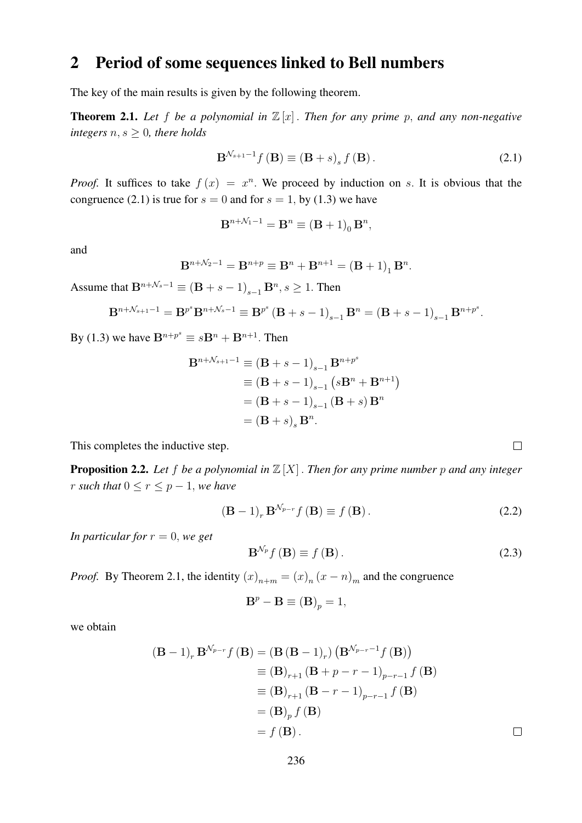### 2 Period of some sequences linked to Bell numbers

The key of the main results is given by the following theorem.

**Theorem 2.1.** Let f be a polynomial in  $\mathbb{Z}[x]$ . Then for any prime p, and any non-negative *integers*  $n, s \geq 0$ *, there holds* 

$$
\mathbf{B}^{\mathcal{N}_{s+1}-1}f\left(\mathbf{B}\right) \equiv \left(\mathbf{B} + s\right)_{s} f\left(\mathbf{B}\right). \tag{2.1}
$$

*Proof.* It suffices to take  $f(x) = x^n$ . We proceed by induction on s. It is obvious that the congruence (2.1) is true for  $s = 0$  and for  $s = 1$ , by (1.3) we have

$$
\mathbf{B}^{n+\mathcal{N}_1-1} = \mathbf{B}^n \equiv (\mathbf{B} + 1)_0 \mathbf{B}^n,
$$

and

$$
B^{n+\mathcal{N}_2-1} = B^{n+p} \equiv B^n + B^{n+1} = (B+1)_1 B^n.
$$

Assume that  $B^{n+\mathcal{N}_s-1} \equiv (B + s - 1)_{s-1} B^n, s \ge 1$ . Then

$$
\mathbf{B}^{n+\mathcal{N}_{s+1}-1} = \mathbf{B}^{p^s} \mathbf{B}^{n+\mathcal{N}_s-1} \equiv \mathbf{B}^{p^s} \left( \mathbf{B} + s - 1 \right)_{s-1} \mathbf{B}^n = \left( \mathbf{B} + s - 1 \right)_{s-1} \mathbf{B}^{n+p^s}.
$$

By (1.3) we have  $\mathbf{B}^{n+p^s} \equiv s\mathbf{B}^n + \mathbf{B}^{n+1}$ . Then

$$
B^{n+\mathcal{N}_{s+1}-1} \equiv (B + s - 1)_{s-1} B^{n+p^s}
$$
  
\n
$$
\equiv (B + s - 1)_{s-1} (sB^n + B^{n+1})
$$
  
\n
$$
= (B + s - 1)_{s-1} (B + s) B^n
$$
  
\n
$$
= (B + s)_{s} B^n.
$$

This completes the inductive step.

**Proposition 2.2.** Let f be a polynomial in  $\mathbb{Z}[X]$ . Then for any prime number p and any integer *r such that*  $0 \le r \le p - 1$ *, we have* 

$$
\left(\mathbf{B} - 1\right)_r \mathbf{B}^{\mathcal{N}_{p-r}} f\left(\mathbf{B}\right) \equiv f\left(\mathbf{B}\right). \tag{2.2}
$$

*In particular for*  $r = 0$ *, we get* 

$$
\mathbf{B}^{\mathcal{N}_p} f(\mathbf{B}) \equiv f(\mathbf{B}). \tag{2.3}
$$

*Proof.* By Theorem 2.1, the identity  $(x)_{n+m} = (x)_n (x - n)_m$  and the congruence

$$
\mathbf{B}^p - \mathbf{B} \equiv (\mathbf{B})_p = 1,
$$

we obtain

$$
(\mathbf{B} - 1)_r \mathbf{B}^{N_{p-r}} f(\mathbf{B}) = (\mathbf{B} (\mathbf{B} - 1)_r) (\mathbf{B}^{N_{p-r}-1} f(\mathbf{B}))
$$
  
\n
$$
\equiv (\mathbf{B})_{r+1} (\mathbf{B} + p - r - 1)_{p-r-1} f(\mathbf{B})
$$
  
\n
$$
\equiv (\mathbf{B})_{r+1} (\mathbf{B} - r - 1)_{p-r-1} f(\mathbf{B})
$$
  
\n
$$
= (\mathbf{B})_p f(\mathbf{B})
$$
  
\n
$$
= f(\mathbf{B}).
$$

 $\Box$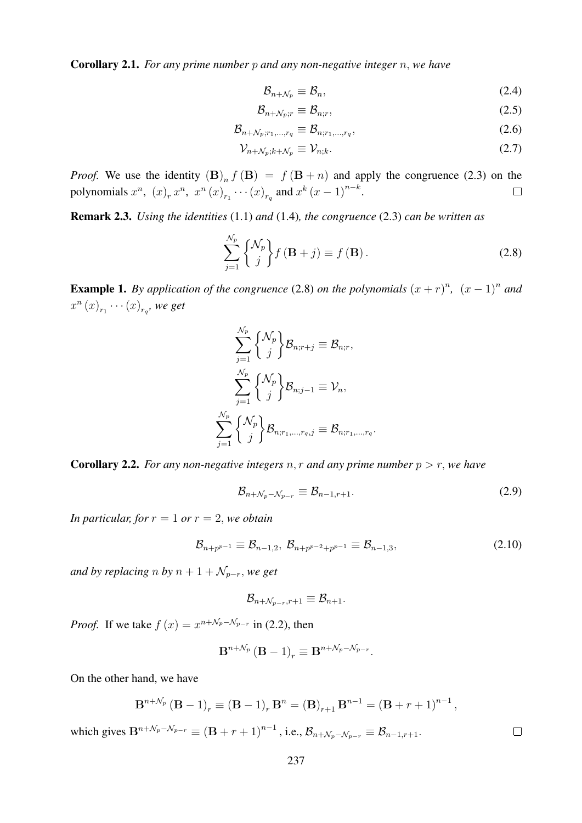Corollary 2.1. *For any prime number* p *and any non-negative integer* n, *we have*

$$
\mathcal{B}_{n+\mathcal{N}_p} \equiv \mathcal{B}_n,\tag{2.4}
$$

$$
\mathcal{B}_{n+\mathcal{N}_p;r} \equiv \mathcal{B}_{n;r},\tag{2.5}
$$

$$
\mathcal{B}_{n+\mathcal{N}_p;r_1,\ldots,r_q} \equiv \mathcal{B}_{n;r_1,\ldots,r_q},\tag{2.6}
$$

$$
\mathcal{V}_{n+\mathcal{N}_p;k+\mathcal{N}_p} \equiv \mathcal{V}_{n;k}.\tag{2.7}
$$

*Proof.* We use the identity  $(B)_n f(B) = f(B+n)$  and apply the congruence (2.3) on the polynomials  $x^n$ ,  $(x)_r x^n$ ,  $x^n (x)_{r_1} \cdots (x)_{r_q}$  and  $x^k (x-1)^{n-k}$ .  $\Box$ 

Remark 2.3. *Using the identities* (1.1) *and* (1.4)*, the congruence* (2.3) *can be written as*

$$
\sum_{j=1}^{N_p} \begin{Bmatrix} \mathcal{N}_p \\ j \end{Bmatrix} f(\mathbf{B} + j) \equiv f(\mathbf{B}).
$$
\n(2.8)

**Example 1.** By application of the congruence (2.8) on the polynomials  $(x + r)^n$ ,  $(x - 1)^n$  and  $x^{n}(x)_{r_{1}}\cdots(x)_{r_{q}}$ , we get

$$
\sum_{j=1}^{\mathcal{N}_p}\binom{\mathcal{N}_p}{j}\mathcal{B}_{n;r+j}\equiv \mathcal{B}_{n;r},\\ \sum_{j=1}^{\mathcal{N}_p}\binom{\mathcal{N}_p}{j}\mathcal{B}_{n;j-1}\equiv \mathcal{V}_n,\\ \sum_{j=1}^{\mathcal{N}_p}\binom{\mathcal{N}_p}{j}\mathcal{B}_{n;r_1,...,r_q,j}\equiv \mathcal{B}_{n;r_1,...,r_q}
$$

**Corollary 2.2.** *For any non-negative integers* n, r and any prime number  $p > r$ , we have

$$
\mathcal{B}_{n+\mathcal{N}_p-\mathcal{N}_{p-r}} \equiv \mathcal{B}_{n-1,r+1}.\tag{2.9}
$$

.

*In particular, for*  $r = 1$  *or*  $r = 2$ *, we obtain* 

$$
\mathcal{B}_{n+p^{p-1}} \equiv \mathcal{B}_{n-1,2}, \ \mathcal{B}_{n+p^{p-2}+p^{p-1}} \equiv \mathcal{B}_{n-1,3}, \tag{2.10}
$$

*and by replacing n by*  $n + 1 + \mathcal{N}_{p-r}$ *, we get* 

$$
\mathcal{B}_{n+\mathcal{N}_{p-r},r+1}\equiv \mathcal{B}_{n+1}.
$$

*Proof.* If we take  $f(x) = x^{n + \sqrt{p} - \sqrt{p} - r}$  in (2.2), then

$$
\mathbf{B}^{n+\mathcal{N}_p}(\mathbf{B}-1)_r \equiv \mathbf{B}^{n+\mathcal{N}_p-\mathcal{N}_{p-r}}.
$$

On the other hand, we have

$$
\mathbf{B}^{n+\mathcal{N}_p}(\mathbf{B}-1)_r \equiv (\mathbf{B}-1)_r \mathbf{B}^n = (\mathbf{B})_{r+1} \mathbf{B}^{n-1} = (\mathbf{B}+r+1)^{n-1},
$$

which gives  $\mathbf{B}^{n+\mathcal{N}_p-\mathcal{N}_{p-r}} \equiv (\mathbf{B}+r+1)^{n-1}$ , i.e.,  $\mathcal{B}_{n+\mathcal{N}_p-\mathcal{N}_{p-r}} \equiv \mathcal{B}_{n-1,r+1}$ .

 $\Box$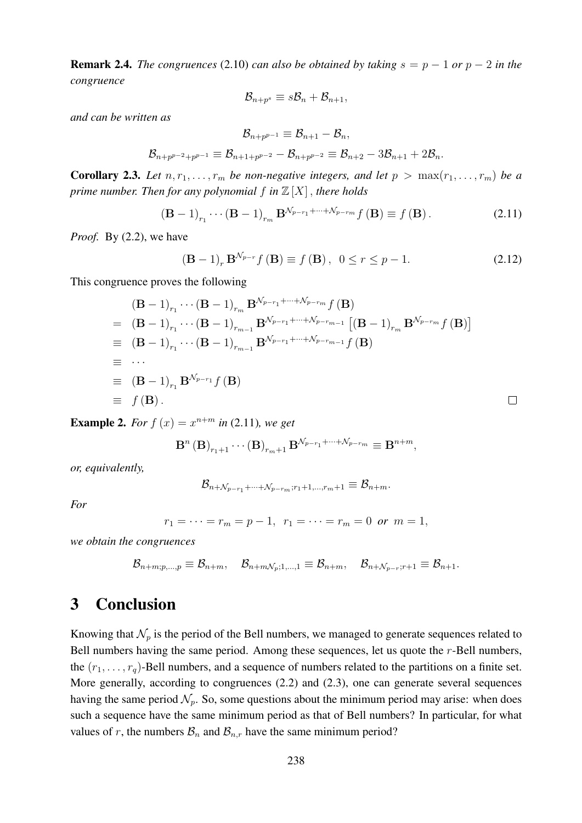**Remark 2.4.** *The congruences* (2.10) *can also be obtained by taking*  $s = p - 1$  *or*  $p - 2$  *in the congruence*

$$
\mathcal{B}_{n+p^s} \equiv s\mathcal{B}_n + \mathcal{B}_{n+1},
$$

*and can be written as*

$$
\mathcal{B}_{n+p^{p-1}} \equiv \mathcal{B}_{n+1} - \mathcal{B}_n,
$$
  

$$
\mathcal{B}_{n+p^{p-2}+p^{p-1}} \equiv \mathcal{B}_{n+1+p^{p-2}} - \mathcal{B}_{n+p^{p-2}} \equiv \mathcal{B}_{n+2} - 3\mathcal{B}_{n+1} + 2\mathcal{B}_n.
$$

**Corollary 2.3.** Let  $n, r_1, \ldots, r_m$  be non-negative integers, and let  $p > \max(r_1, \ldots, r_m)$  be a *prime number. Then for any polynomial*  $f$  *in*  $\mathbb{Z}[X]$ *, there holds* 

$$
(\mathbf{B} - 1)_{r_1} \cdots (\mathbf{B} - 1)_{r_m} \mathbf{B}^{\mathcal{N}_{p-r_1} + \cdots + \mathcal{N}_{p-r_m}} f(\mathbf{B}) \equiv f(\mathbf{B}). \tag{2.11}
$$

*Proof.* By (2.2), we have

$$
(\mathbf{B} - 1)_r \mathbf{B}^{N_{p-r}} f(\mathbf{B}) \equiv f(\mathbf{B}), \ \ 0 \le r \le p - 1. \tag{2.12}
$$

 $\Box$ 

This congruence proves the following

$$
(\mathbf{B} - 1)_{r_1} \cdots (\mathbf{B} - 1)_{r_m} \mathbf{B}^{\mathcal{N}_{p-r_1} + \cdots + \mathcal{N}_{p-r_m}} f(\mathbf{B})
$$
  
\n
$$
= (\mathbf{B} - 1)_{r_1} \cdots (\mathbf{B} - 1)_{r_{m-1}} \mathbf{B}^{\mathcal{N}_{p-r_1} + \cdots + \mathcal{N}_{p-r_{m-1}}} [(\mathbf{B} - 1)_{r_m} \mathbf{B}^{\mathcal{N}_{p-r_m}} f(\mathbf{B})]
$$
  
\n
$$
\equiv (\mathbf{B} - 1)_{r_1} \cdots (\mathbf{B} - 1)_{r_{m-1}} \mathbf{B}^{\mathcal{N}_{p-r_1} + \cdots + \mathcal{N}_{p-r_{m-1}}} f(\mathbf{B})
$$
  
\n
$$
\equiv \cdots
$$
  
\n
$$
\equiv (\mathbf{B} - 1)_{r_1} \mathbf{B}^{\mathcal{N}_{p-r_1}} f(\mathbf{B})
$$
  
\n
$$
\equiv f(\mathbf{B}).
$$

**Example 2.** For  $f(x) = x^{n+m}$  in (2.11)*, we get* 

$$
\mathbf{B}^{n}(\mathbf{B})_{r_{1}+1}\cdots(\mathbf{B})_{r_{m}+1}\,\mathbf{B}^{\mathcal{N}_{p-r_{1}}+\cdots+\mathcal{N}_{p-r_{m}}}\equiv\mathbf{B}^{n+m},
$$

*or, equivalently,*

$$
\mathcal{B}_{n+\mathcal{N}_{p-r_1}+\cdots+\mathcal{N}_{p-r_m};r_1+1, ..., r_m+1}\equiv \mathcal{B}_{n+m}.
$$

*For*

$$
r_1 = \cdots = r_m = p-1, r_1 = \cdots = r_m = 0 \text{ or } m = 1,
$$

*we obtain the congruences*

$$
\mathcal{B}_{n+m;p,...,p}\equiv \mathcal{B}_{n+m},\quad \mathcal{B}_{n+m\mathcal{N}_p;1,...,1}\equiv \mathcal{B}_{n+m},\quad \mathcal{B}_{n+\mathcal{N}_{p-r};r+1}\equiv \mathcal{B}_{n+1}.
$$

#### 3 Conclusion

Knowing that  $\mathcal{N}_p$  is the period of the Bell numbers, we managed to generate sequences related to Bell numbers having the same period. Among these sequences, let us quote the r-Bell numbers, the  $(r_1, \ldots, r_q)$ -Bell numbers, and a sequence of numbers related to the partitions on a finite set. More generally, according to congruences (2.2) and (2.3), one can generate several sequences having the same period  $\mathcal{N}_p$ . So, some questions about the minimum period may arise: when does such a sequence have the same minimum period as that of Bell numbers? In particular, for what values of r, the numbers  $\mathcal{B}_n$  and  $\mathcal{B}_{n,r}$  have the same minimum period?